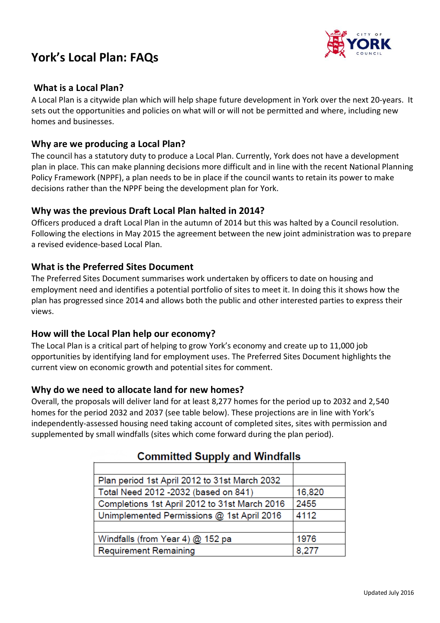# **York's Local Plan: FAQs**



### **What is a Local Plan?**

A Local Plan is a citywide plan which will help shape future development in York over the next 20-years. It sets out the opportunities and policies on what will or will not be permitted and where, including new homes and businesses.

### **Why are we producing a Local Plan?**

The council has a statutory duty to produce a Local Plan. Currently, York does not have a development plan in place. This can make planning decisions more difficult and in line with the recent National Planning Policy Framework (NPPF), a plan needs to be in place if the council wants to retain its power to make decisions rather than the NPPF being the development plan for York.

## **Why was the previous Draft Local Plan halted in 2014?**

Officers produced a draft Local Plan in the autumn of 2014 but this was halted by a Council resolution. Following the elections in May 2015 the agreement between the new joint administration was to prepare a revised evidence-based Local Plan.

## **What is the Preferred Sites Document**

The Preferred Sites Document summarises work undertaken by officers to date on housing and employment need and identifies a potential portfolio of sites to meet it. In doing this it shows how the plan has progressed since 2014 and allows both the public and other interested parties to express their views.

#### **How will the Local Plan help our economy?**

The Local Plan is a critical part of helping to grow York's economy and create up to 11,000 job opportunities by identifying land for employment uses. The Preferred Sites Document highlights the current view on economic growth and potential sites for comment.

#### **Why do we need to allocate land for new homes?**

Overall, the proposals will deliver land for at least 8,277 homes for the period up to 2032 and 2,540 homes for the period 2032 and 2037 (see table below). These projections are in line with York's independently-assessed housing need taking account of completed sites, sites with permission and supplemented by small windfalls (sites which come forward during the plan period).

| Committed Oupply and Windians                 |        |
|-----------------------------------------------|--------|
|                                               |        |
| Plan period 1st April 2012 to 31st March 2032 |        |
| Total Need 2012 - 2032 (based on 841)         | 16,820 |
| Completions 1st April 2012 to 31st March 2016 | 2455   |
| Unimplemented Permissions @ 1st April 2016    | 4112   |
|                                               |        |
| Windfalls (from Year 4) $@$ 152 pa            | 1976   |
| <b>Requirement Remaining</b>                  | 8,277  |

## Committed Supply and Windfalle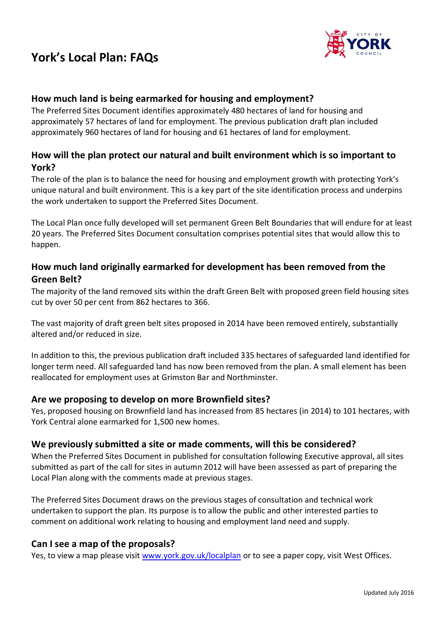# **York's Local Plan: FAQs**



## **How much land is being earmarked for housing and employment?**

The Preferred Sites Document identifies approximately 480 hectares of land for housing and approximately 57 hectares of land for employment. The previous publication draft plan included approximately 960 hectares of land for housing and 61 hectares of land for employment.

## **How will the plan protect our natural and built environment which is so important to York?**

The role of the plan is to balance the need for housing and employment growth with protecting York's unique natural and built environment. This is a key part of the site identification process and underpins the work undertaken to support the Preferred Sites Document.

The Local Plan once fully developed will set permanent Green Belt Boundaries that will endure for at least 20 years. The Preferred Sites Document consultation comprises potential sites that would allow this to happen.

## **How much land originally earmarked for development has been removed from the Green Belt?**

The majority of the land removed sits within the draft Green Belt with proposed green field housing sites cut by over 50 per cent from 862 hectares to 366.

The vast majority of draft green belt sites proposed in 2014 have been removed entirely, substantially altered and/or reduced in size.

In addition to this, the previous publication draft included 335 hectares of safeguarded land identified for longer term need. All safeguarded land has now been removed from the plan. A small element has been reallocated for employment uses at Grimston Bar and Northminster.

#### **Are we proposing to develop on more Brownfield sites?**

Yes, proposed housing on Brownfield land has increased from 85 hectares (in 2014) to 101 hectares, with York Central alone earmarked for 1,500 new homes.

#### **We previously submitted a site or made comments, will this be considered?**

When the Preferred Sites Document in published for consultation following Executive approval, all sites submitted as part of the call for sites in autumn 2012 will have been assessed as part of preparing the Local Plan along with the comments made at previous stages.

The Preferred Sites Document draws on the previous stages of consultation and technical work undertaken to support the plan. Its purpose is to allow the public and other interested parties to comment on additional work relating to housing and employment land need and supply.

#### **Can I see a map of the proposals?**

Yes, to view a map please visit [www.york.gov.uk/localplan](http://www.york.gov.uk/localplan) or to see a paper copy, visit West Offices.